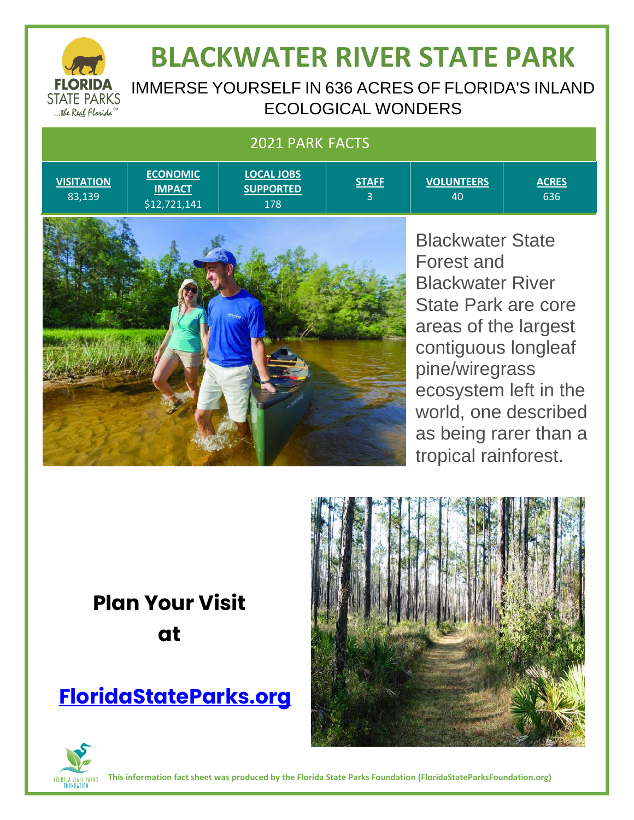

# **BLACKWATER RIVER STATE PARK**

IMMERSE YOURSELF IN 636 ACRES OF FLORIDA'S INLAND ECOLOGICAL WONDERS

> **STAFF** 3

#### 2021 PARK FACTS

**VISITATION** 83,139

**ECONOMIC IMPACT** \$12,721,141

**LOCAL JOBS SUPPORTED**

178

**VOLUNTEERS** 40

**ACRES** 636



Blackwater State Forest and Blackwater River State Park are core areas of the largest contiguous longleaf pine/wiregrass ecosystem left in the world, one described as being rarer than a tropical rainforest.

## **Plan Your Visit at**

### **[FloridaStateParks.org](http://www.floridastateparks.org/)**





**This information fact sheet was produced by the Florida State Parks Foundation (FloridaStateParksFoundation.org)**